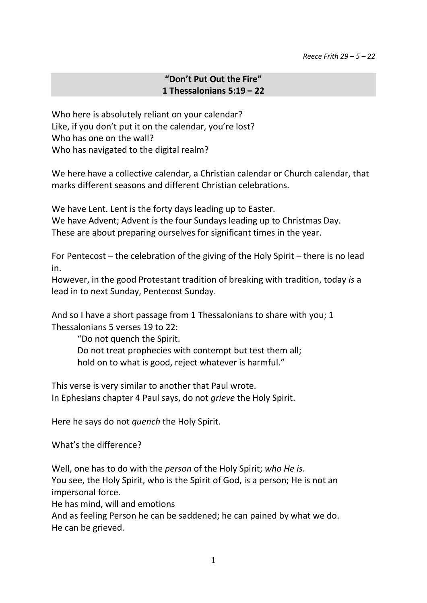## **"Don't Put Out the Fire" 1 Thessalonians 5:19 – 22**

Who here is absolutely reliant on your calendar? Like, if you don't put it on the calendar, you're lost? Who has one on the wall? Who has navigated to the digital realm?

We here have a collective calendar, a Christian calendar or Church calendar, that marks different seasons and different Christian celebrations.

We have Lent. Lent is the forty days leading up to Easter. We have Advent; Advent is the four Sundays leading up to Christmas Day. These are about preparing ourselves for significant times in the year.

For Pentecost – the celebration of the giving of the Holy Spirit – there is no lead in.

However, in the good Protestant tradition of breaking with tradition, today *is* a lead in to next Sunday, Pentecost Sunday.

And so I have a short passage from 1 Thessalonians to share with you; 1 Thessalonians 5 verses 19 to 22:

"Do not quench the Spirit.

Do not treat prophecies with contempt but test them all; hold on to what is good, reject whatever is harmful."

This verse is very similar to another that Paul wrote. In Ephesians chapter 4 Paul says, do not *grieve* the Holy Spirit.

Here he says do not *quench* the Holy Spirit.

What's the difference?

Well, one has to do with the *person* of the Holy Spirit; *who He is*. You see, the Holy Spirit, who is the Spirit of God, is a person; He is not an impersonal force.

He has mind, will and emotions

And as feeling Person he can be saddened; he can pained by what we do. He can be grieved.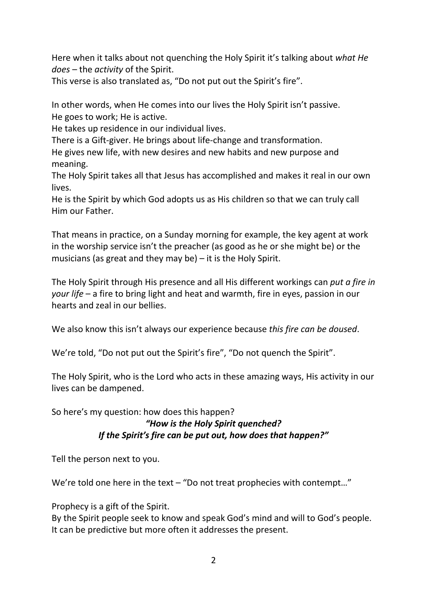Here when it talks about not quenching the Holy Spirit it's talking about *what He does* – the *activity* of the Spirit.

This verse is also translated as, "Do not put out the Spirit's fire".

In other words, when He comes into our lives the Holy Spirit isn't passive. He goes to work; He is active.

He takes up residence in our individual lives.

There is a Gift-giver. He brings about life-change and transformation.

He gives new life, with new desires and new habits and new purpose and meaning.

The Holy Spirit takes all that Jesus has accomplished and makes it real in our own lives.

He is the Spirit by which God adopts us as His children so that we can truly call Him our Father.

That means in practice, on a Sunday morning for example, the key agent at work in the worship service isn't the preacher (as good as he or she might be) or the musicians (as great and they may be) – it is the Holy Spirit.

The Holy Spirit through His presence and all His different workings can *put a fire in your life* – a fire to bring light and heat and warmth, fire in eyes, passion in our hearts and zeal in our bellies.

We also know this isn't always our experience because *this fire can be doused*.

We're told, "Do not put out the Spirit's fire", "Do not quench the Spirit".

The Holy Spirit, who is the Lord who acts in these amazing ways, His activity in our lives can be dampened.

So here's my question: how does this happen?

## *"How is the Holy Spirit quenched? If the Spirit's fire can be put out, how does that happen?"*

Tell the person next to you.

We're told one here in the text – "Do not treat prophecies with contempt..."

Prophecy is a gift of the Spirit.

By the Spirit people seek to know and speak God's mind and will to God's people. It can be predictive but more often it addresses the present.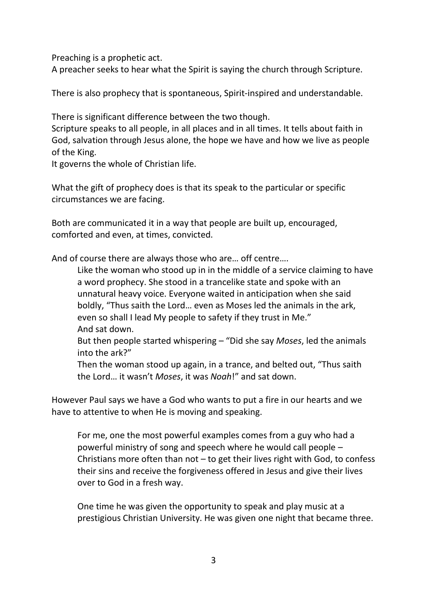Preaching is a prophetic act.

A preacher seeks to hear what the Spirit is saying the church through Scripture.

There is also prophecy that is spontaneous, Spirit-inspired and understandable.

There is significant difference between the two though.

Scripture speaks to all people, in all places and in all times. It tells about faith in God, salvation through Jesus alone, the hope we have and how we live as people of the King.

It governs the whole of Christian life.

What the gift of prophecy does is that its speak to the particular or specific circumstances we are facing.

Both are communicated it in a way that people are built up, encouraged, comforted and even, at times, convicted.

And of course there are always those who are… off centre….

Like the woman who stood up in in the middle of a service claiming to have a word prophecy. She stood in a trancelike state and spoke with an unnatural heavy voice. Everyone waited in anticipation when she said boldly, "Thus saith the Lord… even as Moses led the animals in the ark, even so shall I lead My people to safety if they trust in Me." And sat down.

But then people started whispering – "Did she say *Moses*, led the animals into the ark?"

Then the woman stood up again, in a trance, and belted out, "Thus saith the Lord… it wasn't *Moses*, it was *Noah*!" and sat down.

However Paul says we have a God who wants to put a fire in our hearts and we have to attentive to when He is moving and speaking.

For me, one the most powerful examples comes from a guy who had a powerful ministry of song and speech where he would call people – Christians more often than not – to get their lives right with God, to confess their sins and receive the forgiveness offered in Jesus and give their lives over to God in a fresh way.

One time he was given the opportunity to speak and play music at a prestigious Christian University. He was given one night that became three.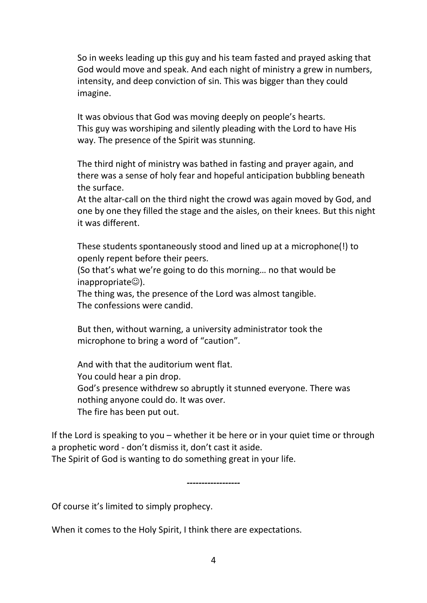So in weeks leading up this guy and his team fasted and prayed asking that God would move and speak. And each night of ministry a grew in numbers, intensity, and deep conviction of sin. This was bigger than they could imagine.

It was obvious that God was moving deeply on people's hearts. This guy was worshiping and silently pleading with the Lord to have His way. The presence of the Spirit was stunning.

The third night of ministry was bathed in fasting and prayer again, and there was a sense of holy fear and hopeful anticipation bubbling beneath the surface.

At the altar-call on the third night the crowd was again moved by God, and one by one they filled the stage and the aisles, on their knees. But this night it was different.

These students spontaneously stood and lined up at a microphone(!) to openly repent before their peers.

(So that's what we're going to do this morning… no that would be  $inapprox$ propriate $\circledcirc$ ).

The thing was, the presence of the Lord was almost tangible. The confessions were candid.

But then, without warning, a university administrator took the microphone to bring a word of "caution".

And with that the auditorium went flat. You could hear a pin drop. God's presence withdrew so abruptly it stunned everyone. There was nothing anyone could do. It was over. The fire has been put out.

If the Lord is speaking to you – whether it be here or in your quiet time or through a prophetic word - don't dismiss it, don't cast it aside. The Spirit of God is wanting to do something great in your life.

*------------------*

Of course it's limited to simply prophecy.

When it comes to the Holy Spirit, I think there are expectations.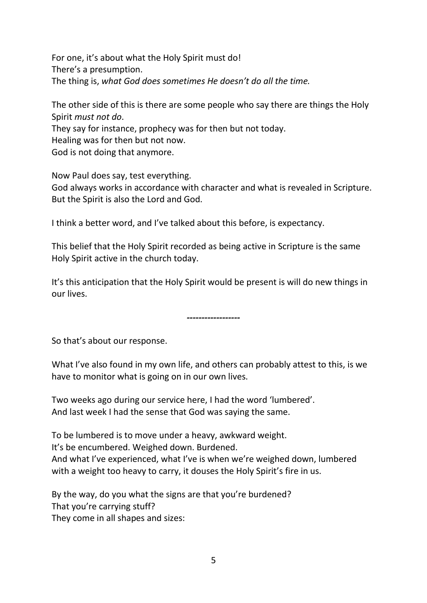For one, it's about what the Holy Spirit must do! There's a presumption. The thing is, *what God does sometimes He doesn't do all the time.*

The other side of this is there are some people who say there are things the Holy Spirit *must not do*. They say for instance, prophecy was for then but not today. Healing was for then but not now. God is not doing that anymore.

Now Paul does say, test everything. God always works in accordance with character and what is revealed in Scripture. But the Spirit is also the Lord and God.

I think a better word, and I've talked about this before, is expectancy.

This belief that the Holy Spirit recorded as being active in Scripture is the same Holy Spirit active in the church today.

It's this anticipation that the Holy Spirit would be present is will do new things in our lives.

*------------------*

So that's about our response.

What I've also found in my own life, and others can probably attest to this, is we have to monitor what is going on in our own lives.

Two weeks ago during our service here, I had the word 'lumbered'. And last week I had the sense that God was saying the same.

To be lumbered is to move under a heavy, awkward weight. It's be encumbered. Weighed down. Burdened. And what I've experienced, what I've is when we're weighed down, lumbered with a weight too heavy to carry, it douses the Holy Spirit's fire in us.

By the way, do you what the signs are that you're burdened? That you're carrying stuff? They come in all shapes and sizes: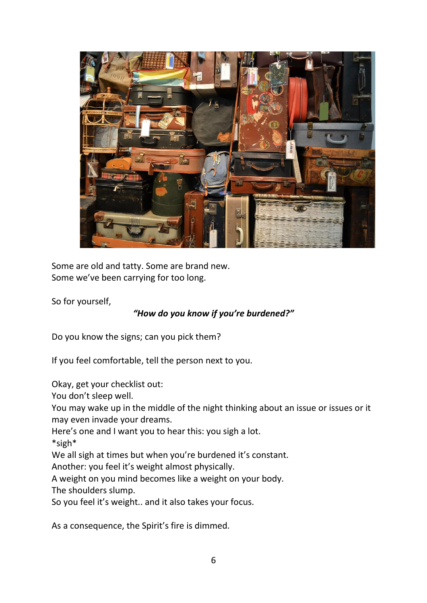

Some are old and tatty. Some are brand new. Some we've been carrying for too long.

So for yourself,

## *"How do you know if you're burdened?"*

Do you know the signs; can you pick them?

If you feel comfortable, tell the person next to you.

Okay, get your checklist out:

You don't sleep well.

You may wake up in the middle of the night thinking about an issue or issues or it may even invade your dreams.

Here's one and I want you to hear this: you sigh a lot.

\*sigh\*

We all sigh at times but when you're burdened it's constant.

Another: you feel it's weight almost physically.

A weight on you mind becomes like a weight on your body.

The shoulders slump.

So you feel it's weight.. and it also takes your focus.

As a consequence, the Spirit's fire is dimmed.